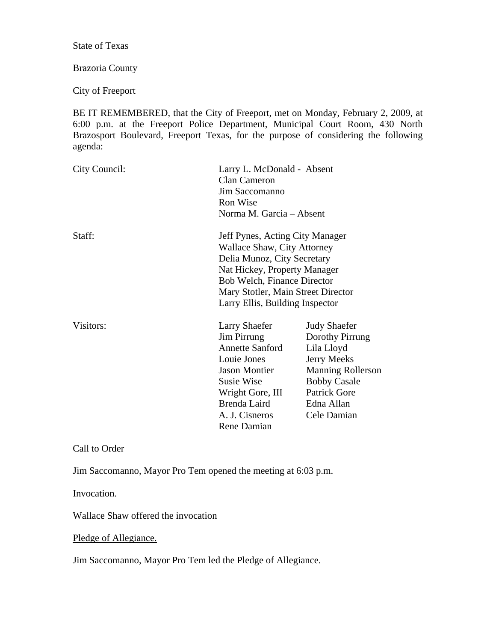State of Texas

# Brazoria County

City of Freeport

BE IT REMEMBERED, that the City of Freeport, met on Monday, February 2, 2009, at 6:00 p.m. at the Freeport Police Department, Municipal Court Room, 430 North Brazosport Boulevard, Freeport Texas, for the purpose of considering the following agenda:

| City Council: | Clan Cameron<br>Jim Saccomanno<br>Ron Wise                                                                                                                                                                                                   | Larry L. McDonald - Absent<br>Norma M. Garcia - Absent                                                                                                                            |  |
|---------------|----------------------------------------------------------------------------------------------------------------------------------------------------------------------------------------------------------------------------------------------|-----------------------------------------------------------------------------------------------------------------------------------------------------------------------------------|--|
| Staff:        | Jeff Pynes, Acting City Manager<br>Wallace Shaw, City Attorney<br>Delia Munoz, City Secretary<br>Nat Hickey, Property Manager<br><b>Bob Welch, Finance Director</b><br>Mary Stotler, Main Street Director<br>Larry Ellis, Building Inspector |                                                                                                                                                                                   |  |
| Visitors:     | <b>Larry Shaefer</b><br><b>Jim Pirrung</b><br><b>Annette Sanford</b><br>Louie Jones<br><b>Jason Montier</b><br>Susie Wise<br>Wright Gore, III<br>Brenda Laird<br>A. J. Cisneros<br>Rene Damian                                               | <b>Judy Shaefer</b><br>Dorothy Pirrung<br>Lila Lloyd<br><b>Jerry Meeks</b><br><b>Manning Rollerson</b><br><b>Bobby Casale</b><br><b>Patrick Gore</b><br>Edna Allan<br>Cele Damian |  |

Call to Order

Jim Saccomanno, Mayor Pro Tem opened the meeting at 6:03 p.m.

Invocation.

Wallace Shaw offered the invocation

Pledge of Allegiance.

Jim Saccomanno, Mayor Pro Tem led the Pledge of Allegiance.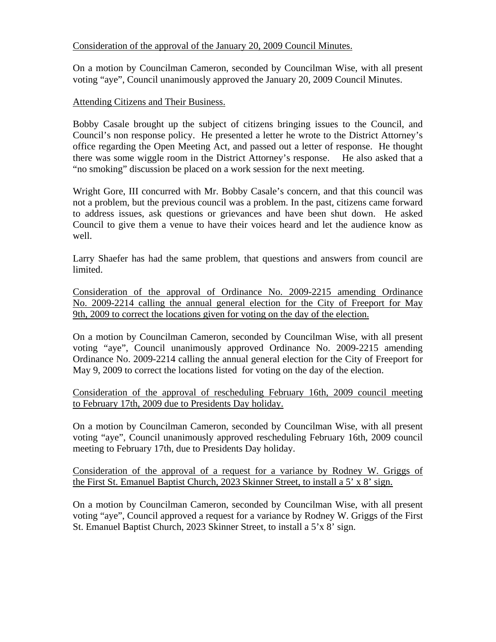### Consideration of the approval of the January 20, 2009 Council Minutes.

On a motion by Councilman Cameron, seconded by Councilman Wise, with all present voting "aye", Council unanimously approved the January 20, 2009 Council Minutes.

### Attending Citizens and Their Business.

Bobby Casale brought up the subject of citizens bringing issues to the Council, and Council's non response policy. He presented a letter he wrote to the District Attorney's office regarding the Open Meeting Act, and passed out a letter of response. He thought there was some wiggle room in the District Attorney's response. He also asked that a "no smoking" discussion be placed on a work session for the next meeting.

Wright Gore, III concurred with Mr. Bobby Casale's concern, and that this council was not a problem, but the previous council was a problem. In the past, citizens came forward to address issues, ask questions or grievances and have been shut down. He asked Council to give them a venue to have their voices heard and let the audience know as well.

Larry Shaefer has had the same problem, that questions and answers from council are limited.

Consideration of the approval of Ordinance No. 2009-2215 amending Ordinance No. 2009-2214 calling the annual general election for the City of Freeport for May 9th, 2009 to correct the locations given for voting on the day of the election.

On a motion by Councilman Cameron, seconded by Councilman Wise, with all present voting "aye", Council unanimously approved Ordinance No. 2009-2215 amending Ordinance No. 2009-2214 calling the annual general election for the City of Freeport for May 9, 2009 to correct the locations listed for voting on the day of the election.

Consideration of the approval of rescheduling February 16th, 2009 council meeting to February 17th, 2009 due to Presidents Day holiday.

On a motion by Councilman Cameron, seconded by Councilman Wise, with all present voting "aye", Council unanimously approved rescheduling February 16th, 2009 council meeting to February 17th, due to Presidents Day holiday.

Consideration of the approval of a request for a variance by Rodney W. Griggs of the First St. Emanuel Baptist Church, 2023 Skinner Street, to install a 5' x 8' sign.

On a motion by Councilman Cameron, seconded by Councilman Wise, with all present voting "aye", Council approved a request for a variance by Rodney W. Griggs of the First St. Emanuel Baptist Church, 2023 Skinner Street, to install a 5'x 8' sign.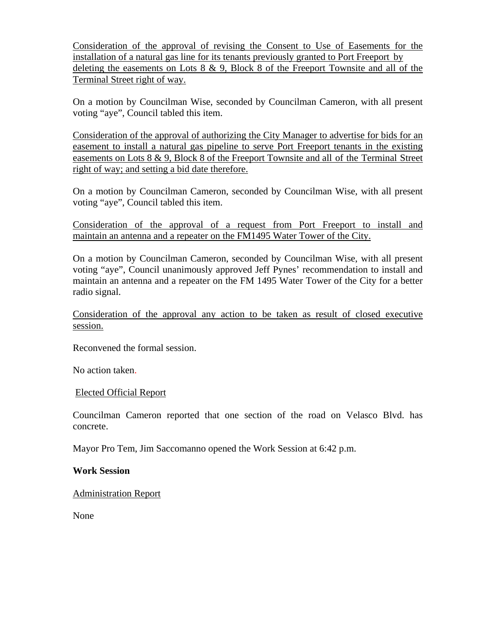Consideration of the approval of revising the Consent to Use of Easements for the installation of a natural gas line for its tenants previously granted to Port Freeport by deleting the easements on Lots 8 & 9, Block 8 of the Freeport Townsite and all of the Terminal Street right of way.

On a motion by Councilman Wise, seconded by Councilman Cameron, with all present voting "aye", Council tabled this item.

Consideration of the approval of authorizing the City Manager to advertise for bids for an easement to install a natural gas pipeline to serve Port Freeport tenants in the existing easements on Lots 8 & 9, Block 8 of the Freeport Townsite and all of the Terminal Street right of way; and setting a bid date therefore.

On a motion by Councilman Cameron, seconded by Councilman Wise, with all present voting "aye", Council tabled this item.

Consideration of the approval of a request from Port Freeport to install and maintain an antenna and a repeater on the FM1495 Water Tower of the City.

On a motion by Councilman Cameron, seconded by Councilman Wise, with all present voting "aye", Council unanimously approved Jeff Pynes' recommendation to install and maintain an antenna and a repeater on the FM 1495 Water Tower of the City for a better radio signal.

Consideration of the approval any action to be taken as result of closed executive session.

Reconvened the formal session.

No action taken.

### Elected Official Report

Councilman Cameron reported that one section of the road on Velasco Blvd. has concrete.

Mayor Pro Tem, Jim Saccomanno opened the Work Session at 6:42 p.m.

### **Work Session**

Administration Report

None